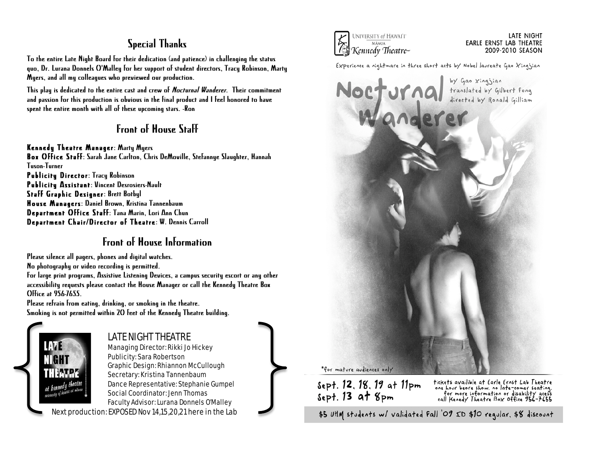## Special Thanks

To the entire Late Night Board for their dedication (and patience) in challenging the status quo, Dr. Lurana Donnels O'Malley for her support of student directors, Tracy Robinson, Marty Myers, and all my colleagues who previewed our production.

This play is dedicated to the entire cast and crew of Nocturnal Wanderer. Their commitment and passion for this production is obvious in the final product and I feel honored to have spent the entire month with all of these upcoming stars. -Ron

## Front of House Staff

### Kennedy Theatre Manager: Marty Myers

Box Office Staff: Sarah Jane Carlton, Chris DeMoville, Stefannye Slaughter, Hannah Tuson-Turner Publicity Director: Tracy Robinson Publicity Assistant: Vincent Desrosiers-Nault Staff Graphic Designer: Brett Botbyl House Managers: Daniel Brown, Kristina Tannenbaum Department Office Staff: Tana Marin, Lori Ann Chun Department Chair/Director of Theatre: W. Dennis Carroll

## Front of House Information

Please silence all pagers, phones and digital watches.

No photography or video recording is permitted.

For large print programs, Assistive Listening Devices, a campus security escort or any other accessibility requests please contact the House Manager or call the Kennedy Theatre Box Office at 956-7655.

Please refrain from eating, drinking, or smoking in the theatre. Smoking is not permitted within 20 feet of the Kennedy Theatre building.



### LATE NIGHT THEATRE Managing Director: Rikki Jo Hickey

Publicity: Sara Robertson Graphic Design: Rhiannon McCullough Secretary: Kristina Tannenbaum Dance Representative: Stephanie Gumpel Social Coordinator: Jenn Thomas Faculty Advisor: Lurana Donnels O'Malley

Next production: EXPOSED Nov 14,15,20,21 here in the Lab



#### LATE NIGHT **EARLE ERNST LAB THEATRE** 2009-2010 SEASON

Experience a nightmare in three short acts by Nobel laureate Gao Xingjian



#### \*for mature audiences only

Sept. 12, 18, 19 at 11pm<br>Sept. 13 at 8pm

tickets availible at Earle Ernst Lab Theatre<br>one hour beore show, no late-comer seating.<br>for more information or disability acess<br>call Kenedy Theatre Box Office 956-7655

\$5 UHM students w/ validated Fall '09 ID \$10 regular, \$8 discount